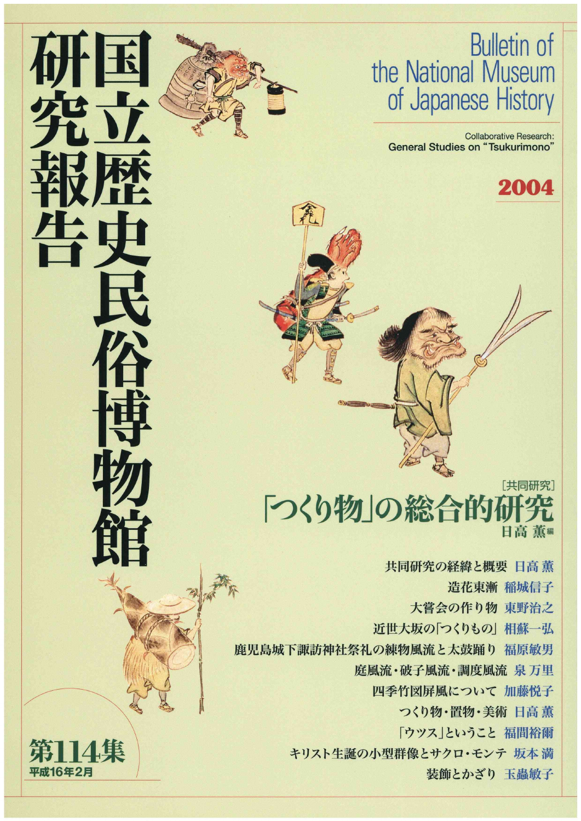### **Bulletin of** the National Museum of Japanese History

Collaborative Research: General Studies on "Tsukurimono"

2004



 $\bigcirc$ 

 共同研究の経緯と概要日高薫 造花東漸 稲城信子 大嘗会の作り物 東野治之 近世大坂の「つくりもの」相蘇一弘 鹿児島城下諏訪神社祭礼の練物風流と太鼓踊り 福原敏男 庭風流・破子風流・調度風流 泉 万里 四季竹図屏風について加藤悦子 つくり物·置物·美術 日高 薫 「ウツス」ということ福間裕爾 キリスト生誕の小型群像とサクロ・モンテ 坂本 満 装飾とかざり 玉蟲敏子



民

**CONTACT PARTIES** 

**中国** 

**the Second Property** 

館

~込

**APP** 

2. 马秤 アーマー

,《剰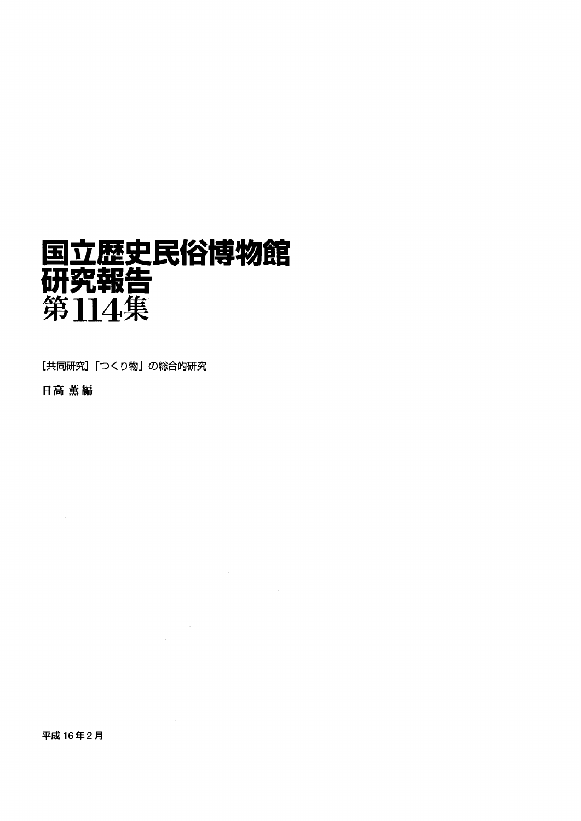# 国立歴史民俗博物館 研究報告

 $\mathcal{L}^{\text{max}}_{\text{max}}$ 

 $\sim$ 

[共同研究]「つくり物」の総合的研究

日高薫編

平成16年2月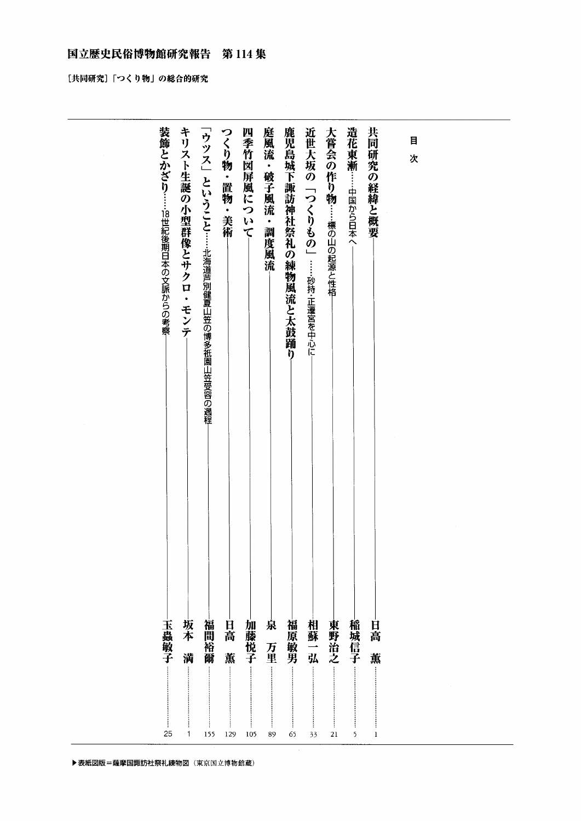#### 国立歴史民俗博物館研究報告 第114集

[共同研究]「つくり物」の総合的研究

▶ 表紙図版=薩摩国諏訪社祭礼練物図 (東京国立博物館蔵)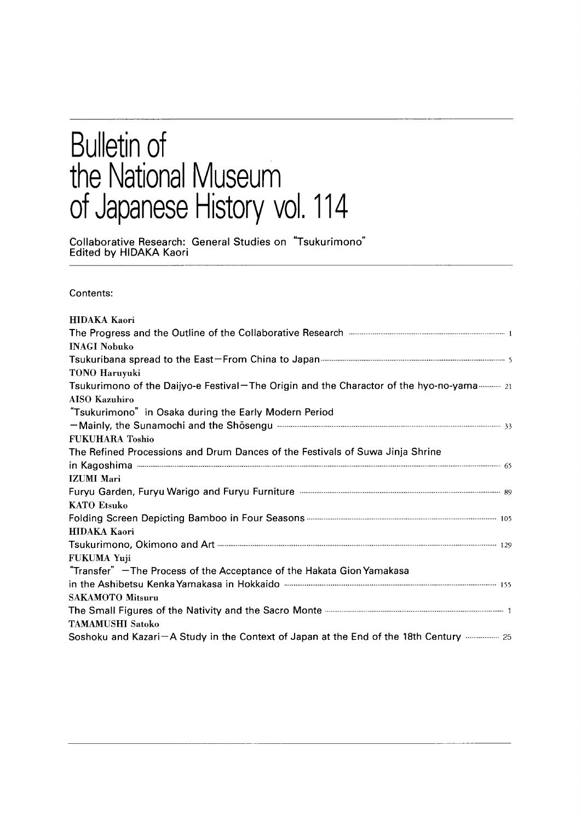### **Bulletin of** the Nat'ona Museum of Japanese History vol 114

Collaborative Research: General Studies on Tsukurimonc Edited bY HlDAKA Kaori

Contents:

| <b>HIDAKA Kaori</b>                                                                               |
|---------------------------------------------------------------------------------------------------|
| The Progress and the Outline of the Collaborative Research <b>Example 2014</b> 2014 2015          |
| <b>INAGI Nobuko</b>                                                                               |
|                                                                                                   |
| TONO Haruyuki                                                                                     |
| Tsukurimono of the Daijyo-e Festival-The Origin and the Charactor of the hyo-no-yama 21           |
| <b>AISO Kazuhiro</b>                                                                              |
| "Tsukurimono" in Osaka during the Early Modern Period                                             |
|                                                                                                   |
| <b>FUKUHARA Toshio</b>                                                                            |
| The Refined Processions and Drum Dances of the Festivals of Suwa Jinja Shrine                     |
|                                                                                                   |
| <b>IZUMI</b> Mari                                                                                 |
|                                                                                                   |
| <b>KATO Etsuko</b>                                                                                |
|                                                                                                   |
| HIDAKA Kaori                                                                                      |
|                                                                                                   |
| FUKUMA Yuji                                                                                       |
| "Transfer" - The Process of the Acceptance of the Hakata Gion Yamakasa                            |
|                                                                                                   |
| <b>SAKAMOTO Mitsuru</b>                                                                           |
| The Small Figures of the Nativity and the Sacro Monte <b>Communication and Strategier Area</b> 1  |
| <b>TAMAMUSHI Satoko</b>                                                                           |
| Soshoku and Kazari - A Study in the Context of Japan at the End of the 18th Century manuscence 25 |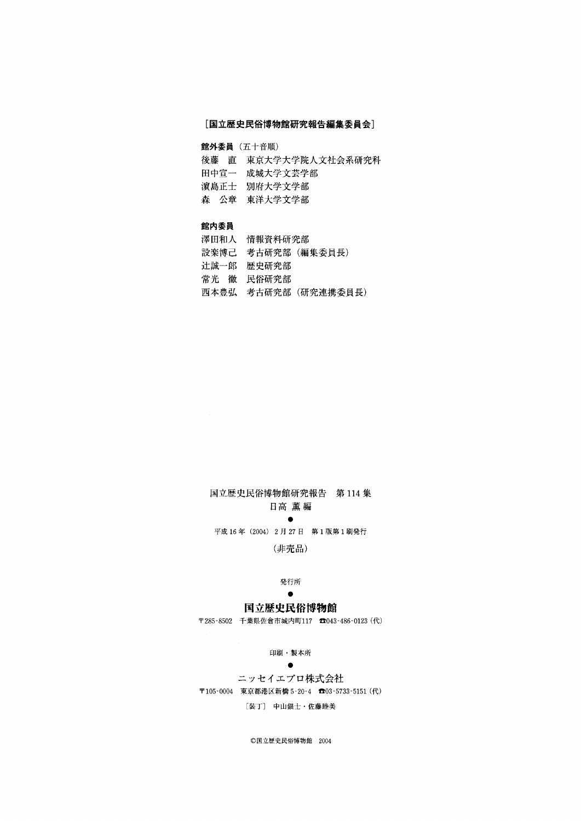#### [国立歴史民俗博物館研究報告編集委員会]

館外委員(五十音順)

- 後藤 直 東京大学大学院人文社会系研究科
- 田中宣一 成城大学文芸学部
- 濱島正士 別府大学文学部
- 森 公章 東洋大学文学部

#### 館内委員

- 澤田和人 情報資料研究部 設楽博己 考古研究部(編集委員長) 辻誠一郎 歴史研究部
- 常光 徹 民俗研究部
- 西本豊弘 考古研究部(研究連携委員長)

#### 国立歴史民俗博物館研究報告 第114集 日高薫編

experience and the second second second 平成16年(2004)2月27日 第1版第1刷発行

(非売品)

#### 発行所

#### experience and the second second second 国立歴史民俗博物館

〒285-8502千葉県佐倉市城内町117aO43-486-0123(代)

#### 印刷・製本所

#### experience in the contract of the contract of

 ニッセイエブロ株式会社 〒105-0004 東京都港区新橋5-20-4む03-5733-5151(代) [装丁] 中山銀士・佐藤睦美

◎国立歴史民俗博物館 2004